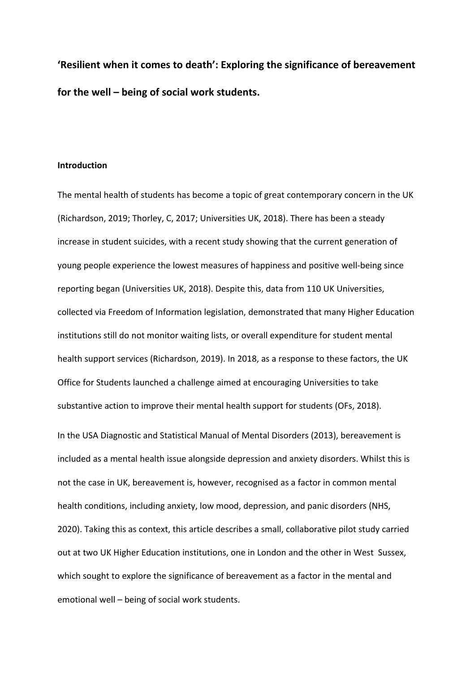**'Resilient when it comes to death': Exploring the significance of bereavement for the well – being of social work students.** 

# **Introduction**

The mental health of students has become a topic of great contemporary concern in the UK (Richardson, 2019; Thorley, C, 2017; Universities UK, 2018). There has been a steady increase in student suicides, with a recent study showing that the current generation of young people experience the lowest measures of happiness and positive well-being since reporting began (Universities UK, 2018). Despite this, data from 110 UK Universities, collected via Freedom of Information legislation, demonstrated that many Higher Education institutions still do not monitor waiting lists, or overall expenditure for student mental health support services (Richardson, 2019). In 2018, as a response to these factors, the UK Office for Students launched a challenge aimed at encouraging Universities to take substantive action to improve their mental health support for students (OFs, 2018).

In the USA Diagnostic and Statistical Manual of Mental Disorders (2013), bereavement is included as a mental health issue alongside depression and anxiety disorders. Whilst this is not the case in UK, bereavement is, however, recognised as a factor in common mental health conditions, including anxiety, low mood, depression, and panic disorders (NHS, 2020). Taking this as context, this article describes a small, collaborative pilot study carried out at two UK Higher Education institutions, one in London and the other in West Sussex, which sought to explore the significance of bereavement as a factor in the mental and emotional well – being of social work students.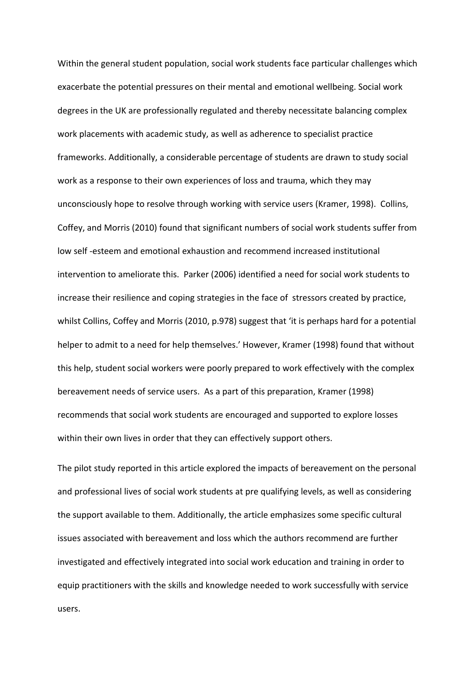Within the general student population, social work students face particular challenges which exacerbate the potential pressures on their mental and emotional wellbeing. Social work degrees in the UK are professionally regulated and thereby necessitate balancing complex work placements with academic study, as well as adherence to specialist practice frameworks. Additionally, a considerable percentage of students are drawn to study social work as a response to their own experiences of loss and trauma, which they may unconsciously hope to resolve through working with service users (Kramer, 1998). Collins, Coffey, and Morris (2010) found that significant numbers of social work students suffer from low self -esteem and emotional exhaustion and recommend increased institutional intervention to ameliorate this. Parker (2006) identified a need for social work students to increase their resilience and coping strategies in the face of stressors created by practice, whilst Collins, Coffey and Morris (2010, p.978) suggest that 'it is perhaps hard for a potential helper to admit to a need for help themselves.' However, Kramer (1998) found that without this help, student social workers were poorly prepared to work effectively with the complex bereavement needs of service users. As a part of this preparation, Kramer (1998) recommends that social work students are encouraged and supported to explore losses within their own lives in order that they can effectively support others.

The pilot study reported in this article explored the impacts of bereavement on the personal and professional lives of social work students at pre qualifying levels, as well as considering the support available to them. Additionally, the article emphasizes some specific cultural issues associated with bereavement and loss which the authors recommend are further investigated and effectively integrated into social work education and training in order to equip practitioners with the skills and knowledge needed to work successfully with service users.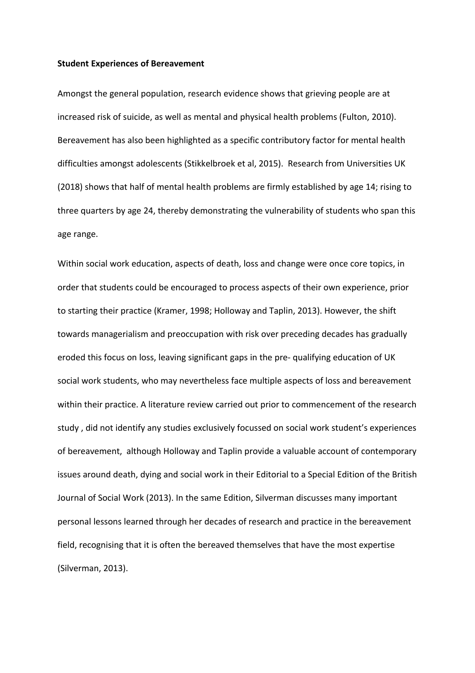#### **Student Experiences of Bereavement**

Amongst the general population, research evidence shows that grieving people are at increased risk of suicide, as well as mental and physical health problems (Fulton, 2010). Bereavement has also been highlighted as a specific contributory factor for mental health difficulties amongst adolescents (Stikkelbroek et al, 2015). Research from Universities UK (2018) shows that half of mental health problems are firmly established by age 14; rising to three quarters by age 24, thereby demonstrating the vulnerability of students who span this age range.

Within social work education, aspects of death, loss and change were once core topics, in order that students could be encouraged to process aspects of their own experience, prior to starting their practice (Kramer, 1998; Holloway and Taplin, 2013). However, the shift towards managerialism and preoccupation with risk over preceding decades has gradually eroded this focus on loss, leaving significant gaps in the pre- qualifying education of UK social work students, who may nevertheless face multiple aspects of loss and bereavement within their practice. A literature review carried out prior to commencement of the research study , did not identify any studies exclusively focussed on social work student's experiences of bereavement, although Holloway and Taplin provide a valuable account of contemporary issues around death, dying and social work in their Editorial to a Special Edition of the British Journal of Social Work (2013). In the same Edition, Silverman discusses many important personal lessons learned through her decades of research and practice in the bereavement field, recognising that it is often the bereaved themselves that have the most expertise (Silverman, 2013).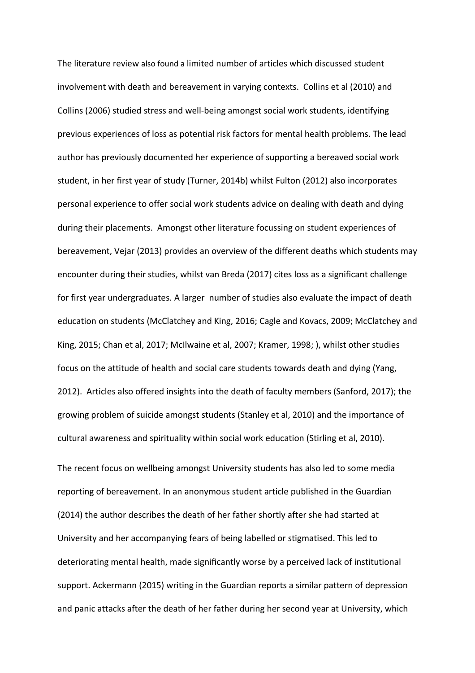The literature review also found a limited number of articles which discussed student involvement with death and bereavement in varying contexts. Collins et al (2010) and Collins (2006) studied stress and well-being amongst social work students, identifying previous experiences of loss as potential risk factors for mental health problems. The lead author has previously documented her experience of supporting a bereaved social work student, in her first year of study (Turner, 2014b) whilst Fulton (2012) also incorporates personal experience to offer social work students advice on dealing with death and dying during their placements. Amongst other literature focussing on student experiences of bereavement, Vejar (2013) provides an overview of the different deaths which students may encounter during their studies, whilst van Breda (2017) cites loss as a significant challenge for first year undergraduates. A larger number of studies also evaluate the impact of death education on students (McClatchey and King, 2016; Cagle and Kovacs, 2009; McClatchey and King, 2015; Chan et al, 2017; McIlwaine et al, 2007; Kramer, 1998; ), whilst other studies focus on the attitude of health and social care students towards death and dying (Yang, 2012). Articles also offered insights into the death of faculty members (Sanford, 2017); the growing problem of suicide amongst students (Stanley et al, 2010) and the importance of cultural awareness and spirituality within social work education (Stirling et al, 2010).

The recent focus on wellbeing amongst University students has also led to some media reporting of bereavement. In an anonymous student article published in the Guardian (2014) the author describes the death of her father shortly after she had started at University and her accompanying fears of being labelled or stigmatised. This led to deteriorating mental health, made significantly worse by a perceived lack of institutional support. Ackermann (2015) writing in the Guardian reports a similar pattern of depression and panic attacks after the death of her father during her second year at University, which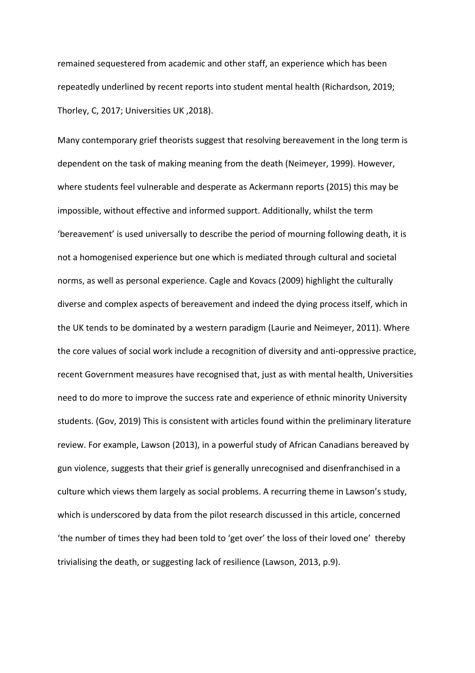remained sequestered from academic and other staff, an experience which has been repeatedly underlined by recent reports into student mental health (Richardson, 2019; Thorley, C, 2017; Universities UK ,2018).

Many contemporary grief theorists suggest that resolving bereavement in the long term is dependent on the task of making meaning from the death (Neimeyer, 1999). However, where students feel vulnerable and desperate as Ackermann reports (2015) this may be impossible, without effective and informed support. Additionally, whilst the term 'bereavement' is used universally to describe the period of mourning following death, it is not a homogenised experience but one which is mediated through cultural and societal norms, as well as personal experience. Cagle and Kovacs (2009) highlight the culturally diverse and complex aspects of bereavement and indeed the dying process itself, which in the UK tends to be dominated by a western paradigm (Laurie and Neimeyer, 2011). Where the core values of social work include a recognition of diversity and anti-oppressive practice, recent Government measures have recognised that, just as with mental health, Universities need to do more to improve the success rate and experience of ethnic minority University students. (Gov, 2019) This is consistent with articles found within the preliminary literature review. For example, Lawson (2013), in a powerful study of African Canadians bereaved by gun violence, suggests that their grief is generally unrecognised and disenfranchised in a culture which views them largely as social problems. A recurring theme in Lawson's study, which is underscored by data from the pilot research discussed in this article, concerned 'the number of times they had been told to 'get over' the loss of their loved one' thereby trivialising the death, or suggesting lack of resilience (Lawson, 2013, p.9).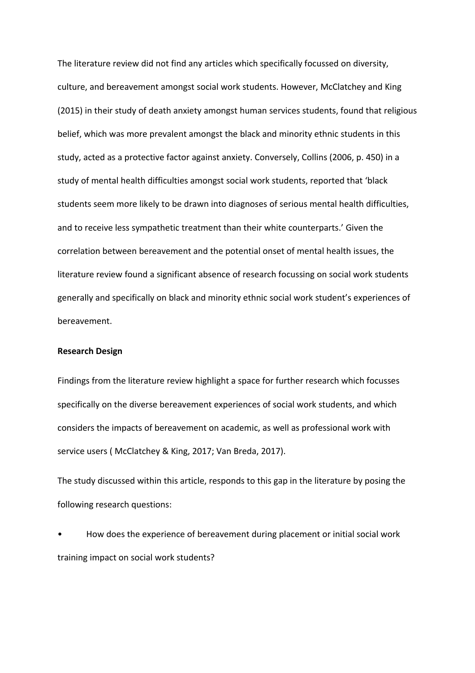The literature review did not find any articles which specifically focussed on diversity, culture, and bereavement amongst social work students. However, McClatchey and King (2015) in their study of death anxiety amongst human services students, found that religious belief, which was more prevalent amongst the black and minority ethnic students in this study, acted as a protective factor against anxiety. Conversely, Collins (2006, p. 450) in a study of mental health difficulties amongst social work students, reported that 'black students seem more likely to be drawn into diagnoses of serious mental health difficulties, and to receive less sympathetic treatment than their white counterparts.' Given the correlation between bereavement and the potential onset of mental health issues, the literature review found a significant absence of research focussing on social work students generally and specifically on black and minority ethnic social work student's experiences of bereavement.

## **Research Design**

Findings from the literature review highlight a space for further research which focusses specifically on the diverse bereavement experiences of social work students, and which considers the impacts of bereavement on academic, as well as professional work with service users ( McClatchey & King, 2017; Van Breda, 2017).

The study discussed within this article, responds to this gap in the literature by posing the following research questions:

• How does the experience of bereavement during placement or initial social work training impact on social work students?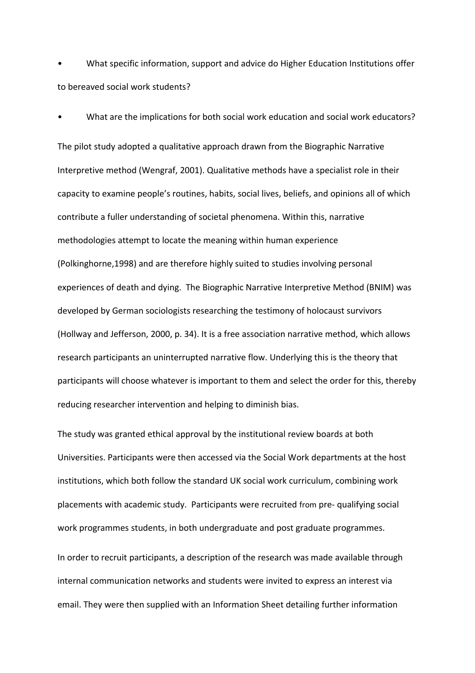• What specific information, support and advice do Higher Education Institutions offer to bereaved social work students?

• What are the implications for both social work education and social work educators? The pilot study adopted a qualitative approach drawn from the Biographic Narrative

Interpretive method (Wengraf, 2001). Qualitative methods have a specialist role in their capacity to examine people's routines, habits, social lives, beliefs, and opinions all of which contribute a fuller understanding of societal phenomena. Within this, narrative methodologies attempt to locate the meaning within human experience (Polkinghorne,1998) and are therefore highly suited to studies involving personal experiences of death and dying. The Biographic Narrative Interpretive Method (BNIM) was developed by German sociologists researching the testimony of holocaust survivors (Hollway and Jefferson, 2000, p. 34). It is a free association narrative method, which allows research participants an uninterrupted narrative flow. Underlying this is the theory that participants will choose whatever is important to them and select the order for this, thereby reducing researcher intervention and helping to diminish bias.

The study was granted ethical approval by the institutional review boards at both Universities. Participants were then accessed via the Social Work departments at the host institutions, which both follow the standard UK social work curriculum, combining work placements with academic study. Participants were recruited from pre- qualifying social work programmes students, in both undergraduate and post graduate programmes.

In order to recruit participants, a description of the research was made available through internal communication networks and students were invited to express an interest via email. They were then supplied with an Information Sheet detailing further information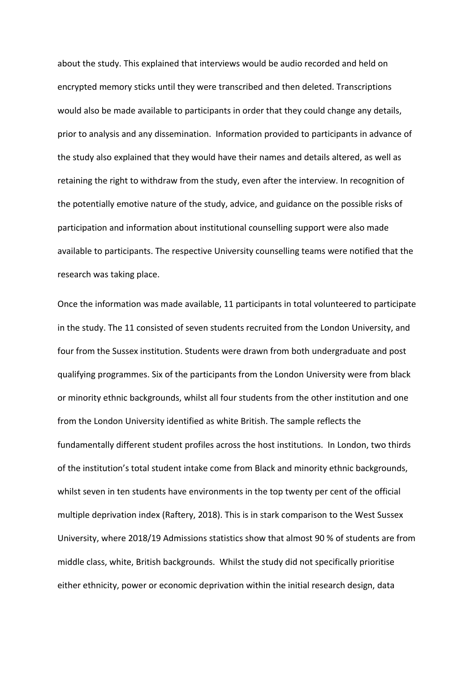about the study. This explained that interviews would be audio recorded and held on encrypted memory sticks until they were transcribed and then deleted. Transcriptions would also be made available to participants in order that they could change any details, prior to analysis and any dissemination. Information provided to participants in advance of the study also explained that they would have their names and details altered, as well as retaining the right to withdraw from the study, even after the interview. In recognition of the potentially emotive nature of the study, advice, and guidance on the possible risks of participation and information about institutional counselling support were also made available to participants. The respective University counselling teams were notified that the research was taking place.

Once the information was made available, 11 participants in total volunteered to participate in the study. The 11 consisted of seven students recruited from the London University, and four from the Sussex institution. Students were drawn from both undergraduate and post qualifying programmes. Six of the participants from the London University were from black or minority ethnic backgrounds, whilst all four students from the other institution and one from the London University identified as white British. The sample reflects the fundamentally different student profiles across the host institutions. In London, two thirds of the institution's total student intake come from Black and minority ethnic backgrounds, whilst seven in ten students have environments in the top twenty per cent of the official multiple deprivation index (Raftery, 2018). This is in stark comparison to the West Sussex University, where 2018/19 Admissions statistics show that almost 90 % of students are from middle class, white, British backgrounds. Whilst the study did not specifically prioritise either ethnicity, power or economic deprivation within the initial research design, data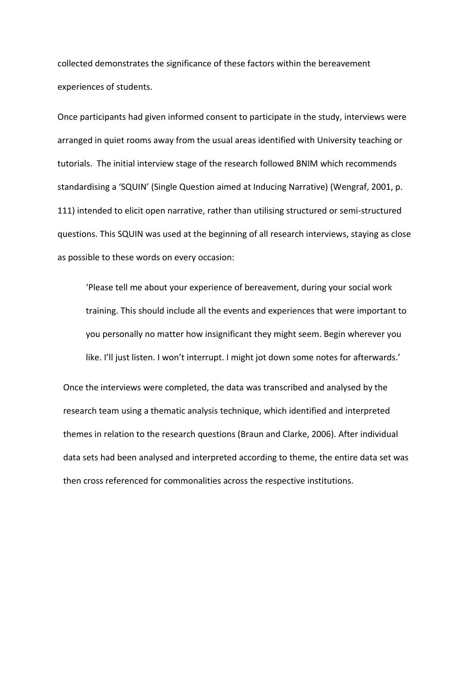collected demonstrates the significance of these factors within the bereavement experiences of students.

Once participants had given informed consent to participate in the study, interviews were arranged in quiet rooms away from the usual areas identified with University teaching or tutorials. The initial interview stage of the research followed BNIM which recommends standardising a 'SQUIN' (Single Question aimed at Inducing Narrative) (Wengraf, 2001, p. 111) intended to elicit open narrative, rather than utilising structured or semi-structured questions. This SQUIN was used at the beginning of all research interviews, staying as close as possible to these words on every occasion:

'Please tell me about your experience of bereavement, during your social work training. This should include all the events and experiences that were important to you personally no matter how insignificant they might seem. Begin wherever you like. I'll just listen. I won't interrupt. I might jot down some notes for afterwards.'

Once the interviews were completed, the data was transcribed and analysed by the research team using a thematic analysis technique, which identified and interpreted themes in relation to the research questions (Braun and Clarke, 2006). After individual data sets had been analysed and interpreted according to theme, the entire data set was then cross referenced for commonalities across the respective institutions.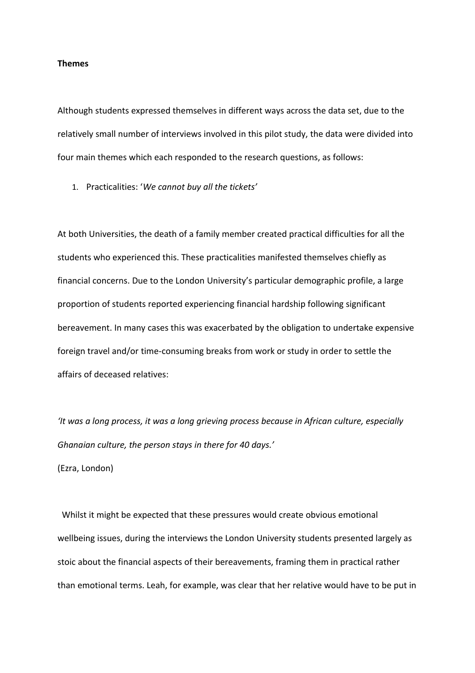## **Themes**

Although students expressed themselves in different ways across the data set, due to the relatively small number of interviews involved in this pilot study, the data were divided into four main themes which each responded to the research questions, as follows:

1. Practicalities: '*We cannot buy all the tickets'*

At both Universities, the death of a family member created practical difficulties for all the students who experienced this. These practicalities manifested themselves chiefly as financial concerns. Due to the London University's particular demographic profile, a large proportion of students reported experiencing financial hardship following significant bereavement. In many cases this was exacerbated by the obligation to undertake expensive foreign travel and/or time-consuming breaks from work or study in order to settle the affairs of deceased relatives:

*'It was a long process, it was a long grieving process because in African culture, especially Ghanaian culture, the person stays in there for 40 days.'*

(Ezra, London)

 Whilst it might be expected that these pressures would create obvious emotional wellbeing issues, during the interviews the London University students presented largely as stoic about the financial aspects of their bereavements, framing them in practical rather than emotional terms. Leah, for example, was clear that her relative would have to be put in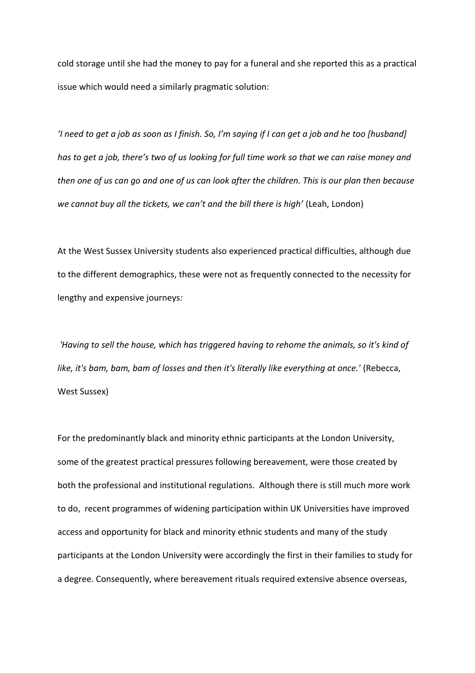cold storage until she had the money to pay for a funeral and she reported this as a practical issue which would need a similarly pragmatic solution:

*'I need to get a job as soon as I finish. So, I'm saying if I can get a job and he too [husband] has to get a job, there's two of us looking for full time work so that we can raise money and then one of us can go and one of us can look after the children. This is our plan then because we cannot buy all the tickets, we can't and the bill there is high'* (Leah, London)

At the West Sussex University students also experienced practical difficulties, although due to the different demographics, these were not as frequently connected to the necessity for lengthy and expensive journeys*:* 

 *'Having to sell the house, which has triggered having to rehome the animals, so it's kind of like, it's bam, bam, bam of losses and then it's literally like everything at once.'* (Rebecca, West Sussex)

For the predominantly black and minority ethnic participants at the London University, some of the greatest practical pressures following bereavement, were those created by both the professional and institutional regulations. Although there is still much more work to do, recent programmes of widening participation within UK Universities have improved access and opportunity for black and minority ethnic students and many of the study participants at the London University were accordingly the first in their families to study for a degree. Consequently, where bereavement rituals required extensive absence overseas,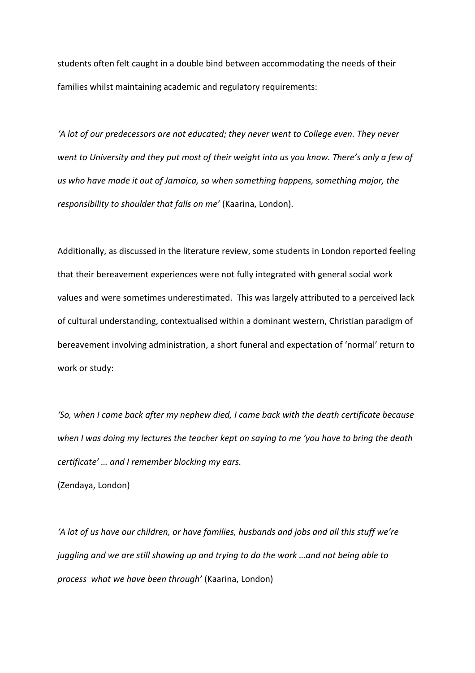students often felt caught in a double bind between accommodating the needs of their families whilst maintaining academic and regulatory requirements:

*'A lot of our predecessors are not educated; they never went to College even. They never went to University and they put most of their weight into us you know. There's only a few of us who have made it out of Jamaica, so when something happens, something major, the responsibility to shoulder that falls on me'* (Kaarina, London).

Additionally, as discussed in the literature review, some students in London reported feeling that their bereavement experiences were not fully integrated with general social work values and were sometimes underestimated. This was largely attributed to a perceived lack of cultural understanding, contextualised within a dominant western, Christian paradigm of bereavement involving administration, a short funeral and expectation of 'normal' return to work or study:

*'So, when I came back after my nephew died, I came back with the death certificate because when I was doing my lectures the teacher kept on saying to me 'you have to bring the death certificate' … and I remember blocking my ears.* 

(Zendaya, London)

*'A lot of us have our children, or have families, husbands and jobs and all this stuff we're juggling and we are still showing up and trying to do the work …and not being able to process what we have been through'* (Kaarina, London)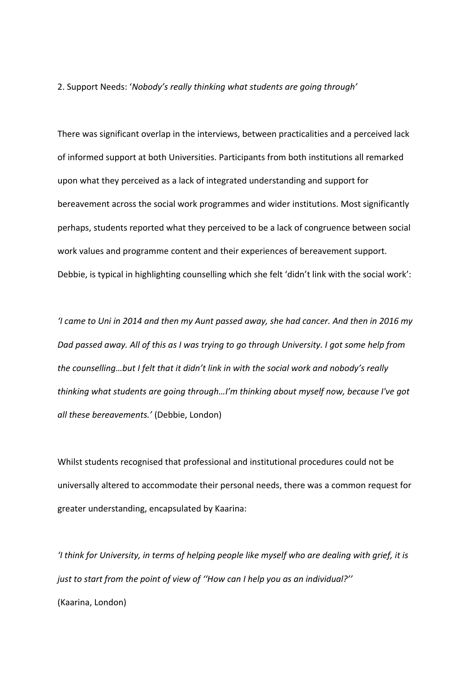2. Support Needs: '*Nobody's really thinking what students are going through'*

There was significant overlap in the interviews, between practicalities and a perceived lack of informed support at both Universities. Participants from both institutions all remarked upon what they perceived as a lack of integrated understanding and support for bereavement across the social work programmes and wider institutions. Most significantly perhaps, students reported what they perceived to be a lack of congruence between social work values and programme content and their experiences of bereavement support. Debbie, is typical in highlighting counselling which she felt 'didn't link with the social work':

*'I came to Uni in 2014 and then my Aunt passed away, she had cancer. And then in 2016 my Dad passed away. All of this as I was trying to go through University. I got some help from the counselling…but I felt that it didn't link in with the social work and nobody's really thinking what students are going through…I'm thinking about myself now, because I've got all these bereavements.'* (Debbie, London)

Whilst students recognised that professional and institutional procedures could not be universally altered to accommodate their personal needs, there was a common request for greater understanding, encapsulated by Kaarina:

*'I think for University, in terms of helping people like myself who are dealing with grief, it is just to start from the point of view of ''How can I help you as an individual?''*  (Kaarina, London)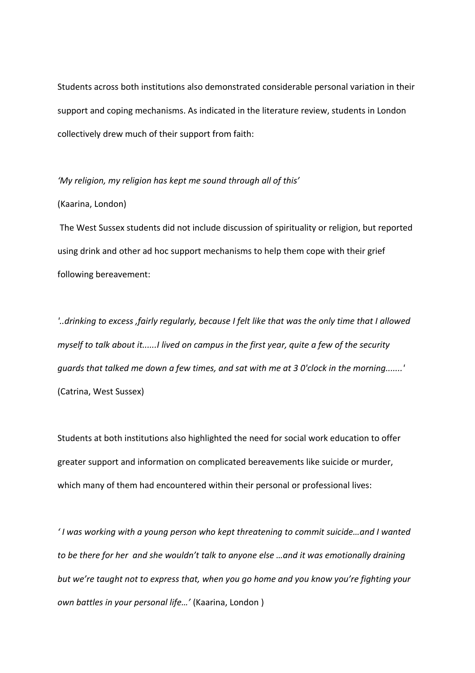Students across both institutions also demonstrated considerable personal variation in their support and coping mechanisms. As indicated in the literature review, students in London collectively drew much of their support from faith:

*'My religion, my religion has kept me sound through all of this'* 

# (Kaarina, London)

 The West Sussex students did not include discussion of spirituality or religion, but reported using drink and other ad hoc support mechanisms to help them cope with their grief following bereavement:

*'..drinking to excess ,fairly regularly, because I felt like that was the only time that I allowed myself to talk about it......I lived on campus in the first year, quite a few of the security guards that talked me down a few times, and sat with me at 3 0'clock in the morning.......'*  (Catrina, West Sussex)

Students at both institutions also highlighted the need for social work education to offer greater support and information on complicated bereavements like suicide or murder, which many of them had encountered within their personal or professional lives:

*' I was working with a young person who kept threatening to commit suicide…and I wanted to be there for her and she wouldn't talk to anyone else …and it was emotionally draining but we're taught not to express that, when you go home and you know you're fighting your own battles in your personal life…'* (Kaarina, London )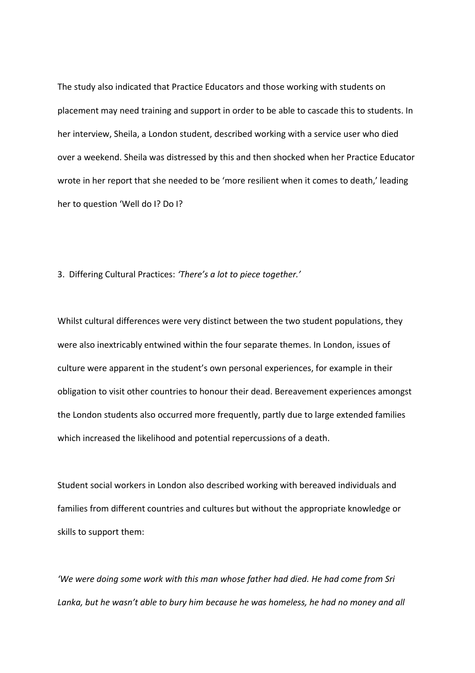The study also indicated that Practice Educators and those working with students on placement may need training and support in order to be able to cascade this to students. In her interview, Sheila, a London student, described working with a service user who died over a weekend. Sheila was distressed by this and then shocked when her Practice Educator wrote in her report that she needed to be 'more resilient when it comes to death,' leading her to question 'Well do I? Do I?

3. Differing Cultural Practices: *'There's a lot to piece together.'* 

Whilst cultural differences were very distinct between the two student populations, they were also inextricably entwined within the four separate themes. In London, issues of culture were apparent in the student's own personal experiences, for example in their obligation to visit other countries to honour their dead. Bereavement experiences amongst the London students also occurred more frequently, partly due to large extended families which increased the likelihood and potential repercussions of a death.

Student social workers in London also described working with bereaved individuals and families from different countries and cultures but without the appropriate knowledge or skills to support them:

*'We were doing some work with this man whose father had died. He had come from Sri Lanka, but he wasn't able to bury him because he was homeless, he had no money and all*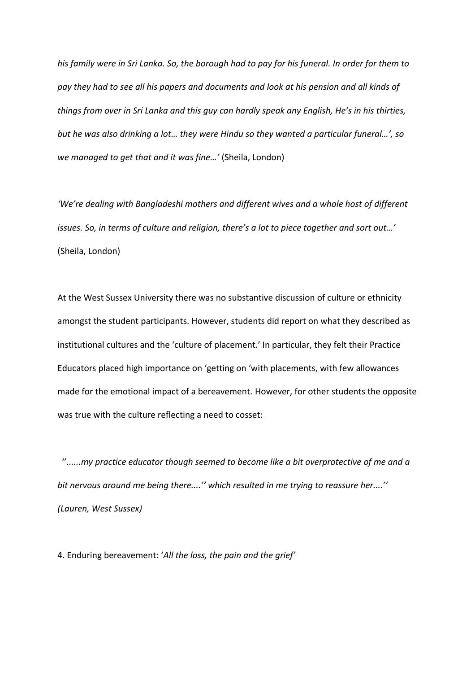*his family were in Sri Lanka. So, the borough had to pay for his funeral. In order for them to pay they had to see all his papers and documents and look at his pension and all kinds of things from over in Sri Lanka and this guy can hardly speak any English, He's in his thirties, but he was also drinking a lot… they were Hindu so they wanted a particular funeral…', so we managed to get that and it was fine…'* (Sheila, London)

*'We're dealing with Bangladeshi mothers and different wives and a whole host of different issues. So, in terms of culture and religion, there's a lot to piece together and sort out…'*  (Sheila, London)

At the West Sussex University there was no substantive discussion of culture or ethnicity amongst the student participants. However, students did report on what they described as institutional cultures and the 'culture of placement.' In particular, they felt their Practice Educators placed high importance on 'getting on 'with placements, with few allowances made for the emotional impact of a bereavement. However, for other students the opposite was true with the culture reflecting a need to cosset:

 ''*......my practice educator though seemed to become like a bit overprotective of me and a bit nervous around me being there....'' which resulted in me trying to reassure her....'' (Lauren, West Sussex)*

4. Enduring bereavement: '*All the loss, the pain and the grief'*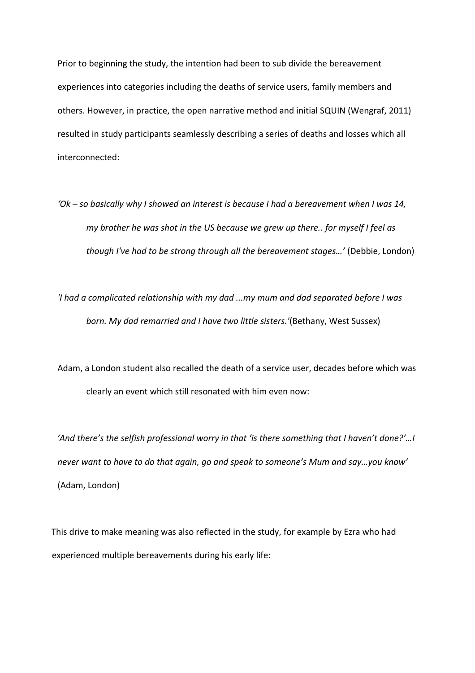Prior to beginning the study, the intention had been to sub divide the bereavement experiences into categories including the deaths of service users, family members and others. However, in practice, the open narrative method and initial SQUIN (Wengraf, 2011) resulted in study participants seamlessly describing a series of deaths and losses which all interconnected:

- *'Ok so basically why I showed an interest is because I had a bereavement when I was 14, my brother he was shot in the US because we grew up there.. for myself I feel as though I've had to be strong through all the bereavement stages…'* (Debbie, London)
- *'I had a complicated relationship with my dad ...my mum and dad separated before I was born. My dad remarried and I have two little sisters.'*(Bethany, West Sussex)
- Adam, a London student also recalled the death of a service user, decades before which was clearly an event which still resonated with him even now:

*'And there's the selfish professional worry in that 'is there something that I haven't done?'…I never want to have to do that again, go and speak to someone's Mum and say…you know'*  (Adam, London)

This drive to make meaning was also reflected in the study, for example by Ezra who had experienced multiple bereavements during his early life: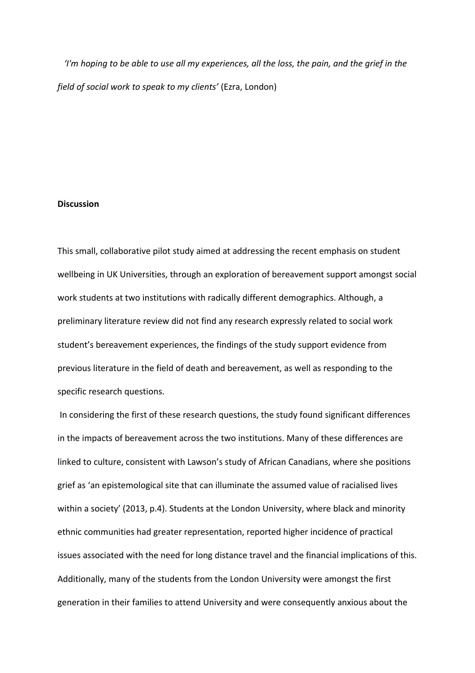*'I'm hoping to be able to use all my experiences, all the loss, the pain, and the grief in the field of social work to speak to my clients'* (Ezra, London)

## **Discussion**

This small, collaborative pilot study aimed at addressing the recent emphasis on student wellbeing in UK Universities, through an exploration of bereavement support amongst social work students at two institutions with radically different demographics. Although, a preliminary literature review did not find any research expressly related to social work student's bereavement experiences, the findings of the study support evidence from previous literature in the field of death and bereavement, as well as responding to the specific research questions.

 In considering the first of these research questions, the study found significant differences in the impacts of bereavement across the two institutions. Many of these differences are linked to culture, consistent with Lawson's study of African Canadians, where she positions grief as 'an epistemological site that can illuminate the assumed value of racialised lives within a society' (2013, p.4). Students at the London University, where black and minority ethnic communities had greater representation, reported higher incidence of practical issues associated with the need for long distance travel and the financial implications of this. Additionally, many of the students from the London University were amongst the first generation in their families to attend University and were consequently anxious about the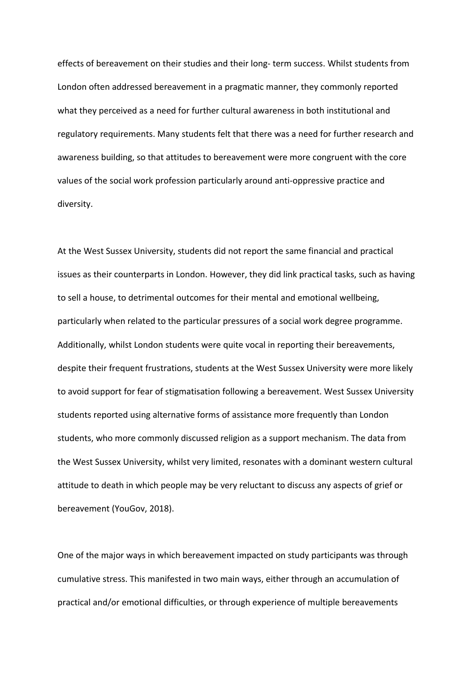effects of bereavement on their studies and their long- term success. Whilst students from London often addressed bereavement in a pragmatic manner, they commonly reported what they perceived as a need for further cultural awareness in both institutional and regulatory requirements. Many students felt that there was a need for further research and awareness building, so that attitudes to bereavement were more congruent with the core values of the social work profession particularly around anti-oppressive practice and diversity.

At the West Sussex University, students did not report the same financial and practical issues as their counterparts in London. However, they did link practical tasks, such as having to sell a house, to detrimental outcomes for their mental and emotional wellbeing, particularly when related to the particular pressures of a social work degree programme. Additionally, whilst London students were quite vocal in reporting their bereavements, despite their frequent frustrations, students at the West Sussex University were more likely to avoid support for fear of stigmatisation following a bereavement. West Sussex University students reported using alternative forms of assistance more frequently than London students, who more commonly discussed religion as a support mechanism. The data from the West Sussex University, whilst very limited, resonates with a dominant western cultural attitude to death in which people may be very reluctant to discuss any aspects of grief or bereavement (YouGov, 2018).

One of the major ways in which bereavement impacted on study participants was through cumulative stress. This manifested in two main ways, either through an accumulation of practical and/or emotional difficulties, or through experience of multiple bereavements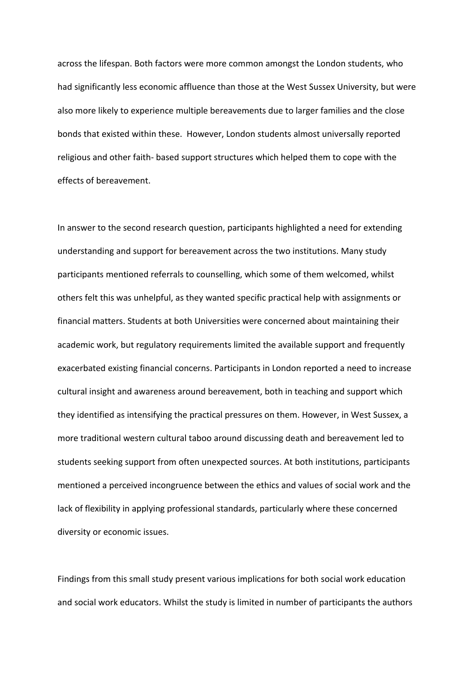across the lifespan. Both factors were more common amongst the London students, who had significantly less economic affluence than those at the West Sussex University, but were also more likely to experience multiple bereavements due to larger families and the close bonds that existed within these. However, London students almost universally reported religious and other faith- based support structures which helped them to cope with the effects of bereavement.

In answer to the second research question, participants highlighted a need for extending understanding and support for bereavement across the two institutions. Many study participants mentioned referrals to counselling, which some of them welcomed, whilst others felt this was unhelpful, as they wanted specific practical help with assignments or financial matters. Students at both Universities were concerned about maintaining their academic work, but regulatory requirements limited the available support and frequently exacerbated existing financial concerns. Participants in London reported a need to increase cultural insight and awareness around bereavement, both in teaching and support which they identified as intensifying the practical pressures on them. However, in West Sussex, a more traditional western cultural taboo around discussing death and bereavement led to students seeking support from often unexpected sources. At both institutions, participants mentioned a perceived incongruence between the ethics and values of social work and the lack of flexibility in applying professional standards, particularly where these concerned diversity or economic issues.

Findings from this small study present various implications for both social work education and social work educators. Whilst the study is limited in number of participants the authors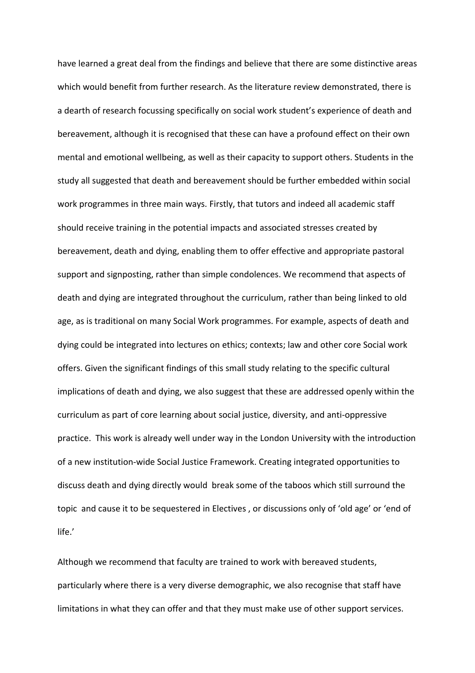have learned a great deal from the findings and believe that there are some distinctive areas which would benefit from further research. As the literature review demonstrated, there is a dearth of research focussing specifically on social work student's experience of death and bereavement, although it is recognised that these can have a profound effect on their own mental and emotional wellbeing, as well as their capacity to support others. Students in the study all suggested that death and bereavement should be further embedded within social work programmes in three main ways. Firstly, that tutors and indeed all academic staff should receive training in the potential impacts and associated stresses created by bereavement, death and dying, enabling them to offer effective and appropriate pastoral support and signposting, rather than simple condolences. We recommend that aspects of death and dying are integrated throughout the curriculum, rather than being linked to old age, as is traditional on many Social Work programmes. For example, aspects of death and dying could be integrated into lectures on ethics; contexts; law and other core Social work offers. Given the significant findings of this small study relating to the specific cultural implications of death and dying, we also suggest that these are addressed openly within the curriculum as part of core learning about social justice, diversity, and anti-oppressive practice. This work is already well under way in the London University with the introduction of a new institution-wide Social Justice Framework. Creating integrated opportunities to discuss death and dying directly would break some of the taboos which still surround the topic and cause it to be sequestered in Electives , or discussions only of 'old age' or 'end of life.'

Although we recommend that faculty are trained to work with bereaved students, particularly where there is a very diverse demographic, we also recognise that staff have limitations in what they can offer and that they must make use of other support services.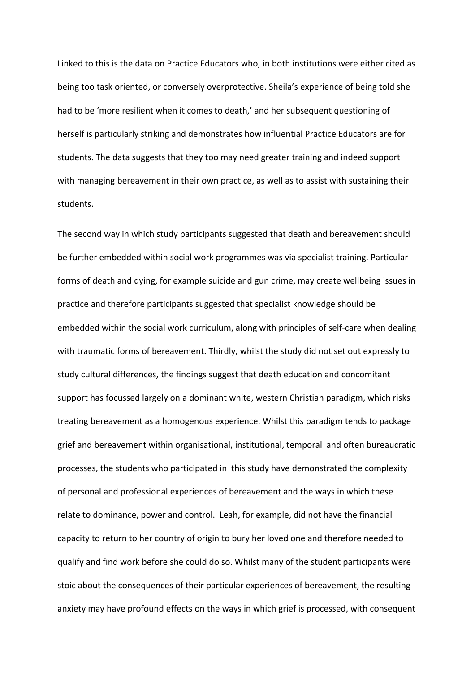Linked to this is the data on Practice Educators who, in both institutions were either cited as being too task oriented, or conversely overprotective. Sheila's experience of being told she had to be 'more resilient when it comes to death,' and her subsequent questioning of herself is particularly striking and demonstrates how influential Practice Educators are for students. The data suggests that they too may need greater training and indeed support with managing bereavement in their own practice, as well as to assist with sustaining their students.

The second way in which study participants suggested that death and bereavement should be further embedded within social work programmes was via specialist training. Particular forms of death and dying, for example suicide and gun crime, may create wellbeing issues in practice and therefore participants suggested that specialist knowledge should be embedded within the social work curriculum, along with principles of self-care when dealing with traumatic forms of bereavement. Thirdly, whilst the study did not set out expressly to study cultural differences, the findings suggest that death education and concomitant support has focussed largely on a dominant white, western Christian paradigm, which risks treating bereavement as a homogenous experience. Whilst this paradigm tends to package grief and bereavement within organisational, institutional, temporal and often bureaucratic processes, the students who participated in this study have demonstrated the complexity of personal and professional experiences of bereavement and the ways in which these relate to dominance, power and control. Leah, for example, did not have the financial capacity to return to her country of origin to bury her loved one and therefore needed to qualify and find work before she could do so. Whilst many of the student participants were stoic about the consequences of their particular experiences of bereavement, the resulting anxiety may have profound effects on the ways in which grief is processed, with consequent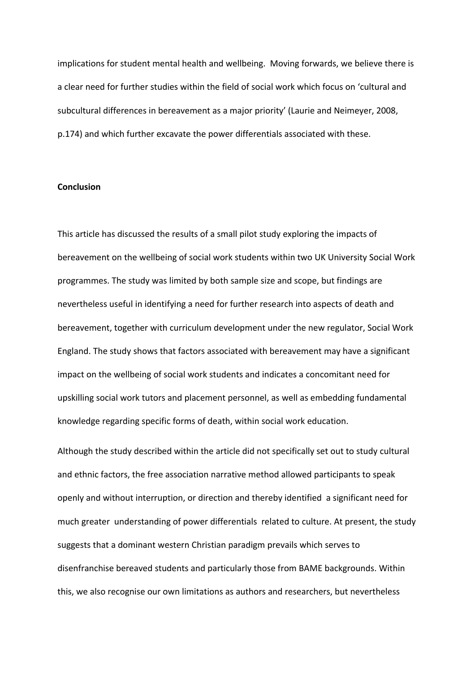implications for student mental health and wellbeing. Moving forwards, we believe there is a clear need for further studies within the field of social work which focus on 'cultural and subcultural differences in bereavement as a major priority' (Laurie and Neimeyer, 2008, p.174) and which further excavate the power differentials associated with these.

# **Conclusion**

This article has discussed the results of a small pilot study exploring the impacts of bereavement on the wellbeing of social work students within two UK University Social Work programmes. The study was limited by both sample size and scope, but findings are nevertheless useful in identifying a need for further research into aspects of death and bereavement, together with curriculum development under the new regulator, Social Work England. The study shows that factors associated with bereavement may have a significant impact on the wellbeing of social work students and indicates a concomitant need for upskilling social work tutors and placement personnel, as well as embedding fundamental knowledge regarding specific forms of death, within social work education.

Although the study described within the article did not specifically set out to study cultural and ethnic factors, the free association narrative method allowed participants to speak openly and without interruption, or direction and thereby identified a significant need for much greater understanding of power differentials related to culture. At present, the study suggests that a dominant western Christian paradigm prevails which serves to disenfranchise bereaved students and particularly those from BAME backgrounds. Within this, we also recognise our own limitations as authors and researchers, but nevertheless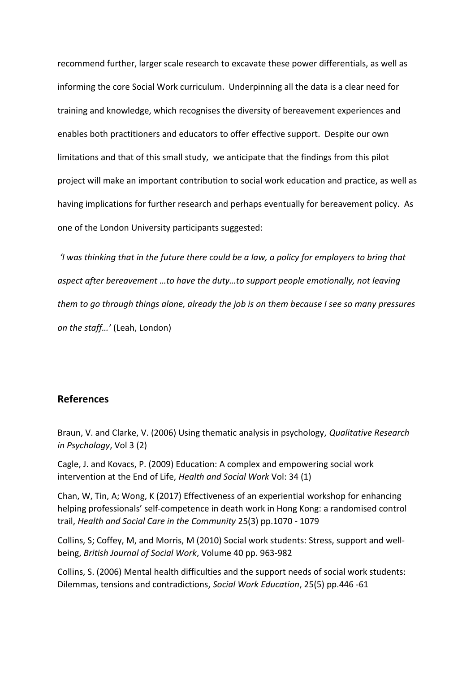recommend further, larger scale research to excavate these power differentials, as well as informing the core Social Work curriculum. Underpinning all the data is a clear need for training and knowledge, which recognises the diversity of bereavement experiences and enables both practitioners and educators to offer effective support. Despite our own limitations and that of this small study, we anticipate that the findings from this pilot project will make an important contribution to social work education and practice, as well as having implications for further research and perhaps eventually for bereavement policy. As one of the London University participants suggested:

 *'I was thinking that in the future there could be a law, a policy for employers to bring that aspect after bereavement …to have the duty…to support people emotionally, not leaving them to go through things alone, already the job is on them because I see so many pressures on the staff…'* (Leah, London)

# **References**

Braun, V. and Clarke, V. (2006) Using thematic analysis in psychology, *Qualitative Research in Psychology*, Vol 3 (2)

Cagle, J. and Kovacs, P. (2009) Education: A complex and empowering social work intervention at the End of Life, *Health and Social Work* Vol: 34 (1)

Chan, W, Tin, A; Wong, K (2017) Effectiveness of an experiential workshop for enhancing helping professionals' self-competence in death work in Hong Kong: a randomised control trail, *Health and Social Care in the Community* 25(3) pp.1070 - 1079

Collins, S; Coffey, M, and Morris, M (2010) Social work students: Stress, support and wellbeing, *British Journal of Social Work*, Volume 40 pp. 963-982

Collins, S. (2006) Mental health difficulties and the support needs of social work students: Dilemmas, tensions and contradictions, *Social Work Education*, 25(5) pp.446 -61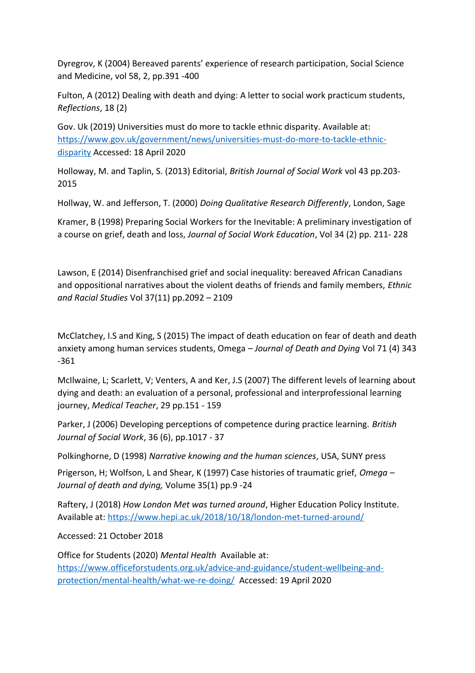Dyregrov, K (2004) Bereaved parents' experience of research participation, Social Science and Medicine, vol 58, 2, pp.391 -400

Fulton, A (2012) Dealing with death and dying: A letter to social work practicum students, *Reflections*, 18 (2)

Gov. Uk (2019) Universities must do more to tackle ethnic disparity. Available at: [https://www.gov.uk/government/news/universities-must-do-more-to-tackle-ethnic](https://www.gov.uk/government/news/universities-must-do-more-to-tackle-ethnic-disparity)[disparity](https://www.gov.uk/government/news/universities-must-do-more-to-tackle-ethnic-disparity) Accessed: 18 April 2020

Holloway, M. and Taplin, S. (2013) Editorial, *British Journal of Social Work* vol 43 pp.203- 2015

Hollway, W. and Jefferson, T. (2000) *Doing Qualitative Research Differently*, London, Sage

Kramer, B (1998) Preparing Social Workers for the Inevitable: A preliminary investigation of a course on grief, death and loss, *Journal of Social Work Education*, Vol 34 (2) pp. 211- 228

Lawson, E (2014) Disenfranchised grief and social inequality: bereaved African Canadians and oppositional narratives about the violent deaths of friends and family members, *Ethnic and Racial Studies* Vol 37(11) pp.2092 – 2109

McClatchey, I.S and King, S (2015) The impact of death education on fear of death and death anxiety among human services students, Omega *– Journal of Death and Dying* Vol 71 (4) 343 -361

McIlwaine, L; Scarlett, V; Venters, A and Ker, J.S (2007) The different levels of learning about dying and death: an evaluation of a personal, professional and interprofessional learning journey, *Medical Teacher*, 29 pp.151 - 159

Parker, J (2006) Developing perceptions of competence during practice learning. *British Journal of Social Work*, 36 (6), pp.1017 - 37

Polkinghorne, D (1998) *Narrative knowing and the human sciences*, USA, SUNY press

Prigerson, H; Wolfson, L and Shear, K (1997) Case histories of traumatic grief, *Omega – Journal of death and dying,* Volume 35(1) pp.9 -24

Raftery, J (2018) *How London Met was turned around*, Higher Education Policy Institute. Available at:<https://www.hepi.ac.uk/2018/10/18/london-met-turned-around/>

Accessed: 21 October 2018

Office for Students (2020) *Mental Health* Available at: [https://www.officeforstudents.org.uk/advice-and-guidance/student-wellbeing-and](https://www.officeforstudents.org.uk/advice-and-guidance/student-wellbeing-and-protection/mental-health/what-we-re-doing/)[protection/mental-health/what-we-re-doing/](https://www.officeforstudents.org.uk/advice-and-guidance/student-wellbeing-and-protection/mental-health/what-we-re-doing/) Accessed: 19 April 2020